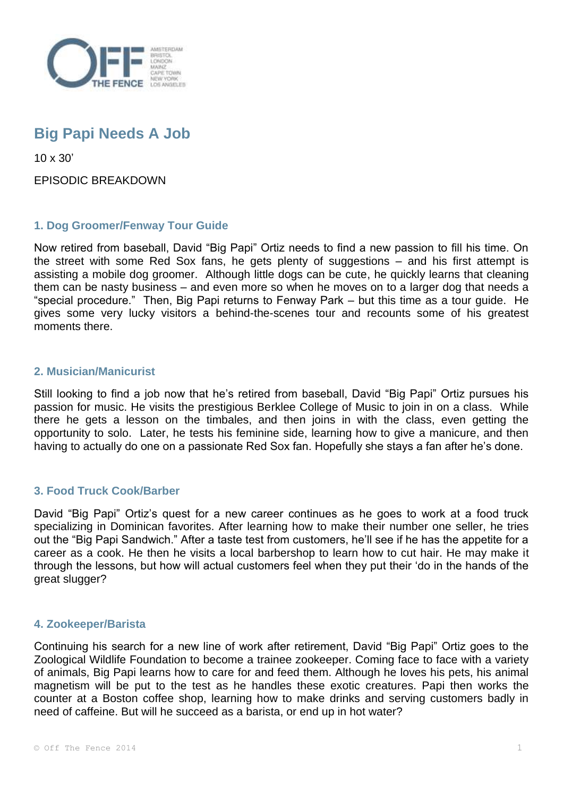

# **Big Papi Needs A Job**

10 x 30'

EPISODIC BREAKDOWN

## **1. Dog Groomer/Fenway Tour Guide**

Now retired from baseball, David "Big Papi" Ortiz needs to find a new passion to fill his time. On the street with some Red Sox fans, he gets plenty of suggestions – and his first attempt is assisting a mobile dog groomer. Although little dogs can be cute, he quickly learns that cleaning them can be nasty business – and even more so when he moves on to a larger dog that needs a "special procedure." Then, Big Papi returns to Fenway Park – but this time as a tour guide. He gives some very lucky visitors a behind-the-scenes tour and recounts some of his greatest moments there.

#### **2. Musician/Manicurist**

Still looking to find a job now that he's retired from baseball, David "Big Papi" Ortiz pursues his passion for music. He visits the prestigious Berklee College of Music to join in on a class. While there he gets a lesson on the timbales, and then joins in with the class, even getting the opportunity to solo. Later, he tests his feminine side, learning how to give a manicure, and then having to actually do one on a passionate Red Sox fan. Hopefully she stays a fan after he's done.

#### **3. Food Truck Cook/Barber**

David "Big Papi" Ortiz's quest for a new career continues as he goes to work at a food truck specializing in Dominican favorites. After learning how to make their number one seller, he tries out the "Big Papi Sandwich." After a taste test from customers, he'll see if he has the appetite for a career as a cook. He then he visits a local barbershop to learn how to cut hair. He may make it through the lessons, but how will actual customers feel when they put their 'do in the hands of the great slugger?

#### **4. Zookeeper/Barista**

Continuing his search for a new line of work after retirement, David "Big Papi" Ortiz goes to the Zoological Wildlife Foundation to become a trainee zookeeper. Coming face to face with a variety of animals, Big Papi learns how to care for and feed them. Although he loves his pets, his animal magnetism will be put to the test as he handles these exotic creatures. Papi then works the counter at a Boston coffee shop, learning how to make drinks and serving customers badly in need of caffeine. But will he succeed as a barista, or end up in hot water?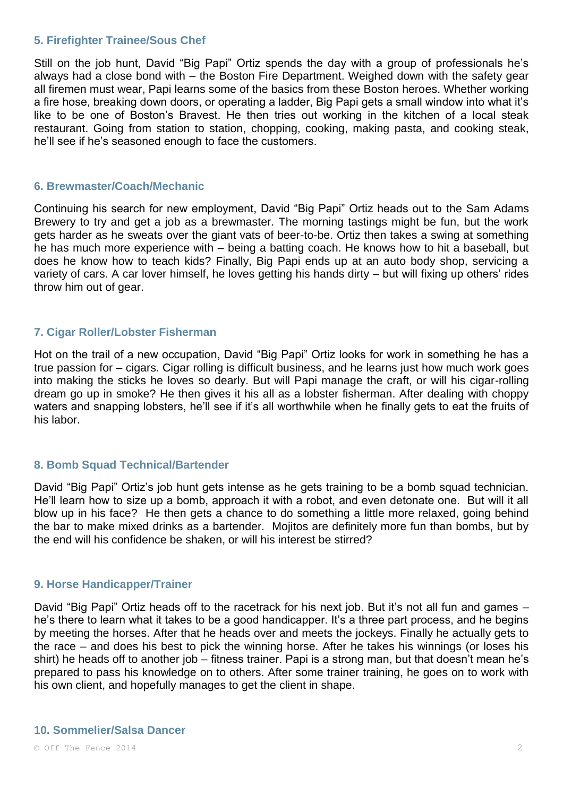#### **5. Firefighter Trainee/Sous Chef**

Still on the job hunt, David "Big Papi" Ortiz spends the day with a group of professionals he's always had a close bond with – the Boston Fire Department. Weighed down with the safety gear all firemen must wear, Papi learns some of the basics from these Boston heroes. Whether working a fire hose, breaking down doors, or operating a ladder, Big Papi gets a small window into what it's like to be one of Boston's Bravest. He then tries out working in the kitchen of a local steak restaurant. Going from station to station, chopping, cooking, making pasta, and cooking steak, he'll see if he's seasoned enough to face the customers.

#### **6. Brewmaster/Coach/Mechanic**

Continuing his search for new employment, David "Big Papi" Ortiz heads out to the Sam Adams Brewery to try and get a job as a brewmaster. The morning tastings might be fun, but the work gets harder as he sweats over the giant vats of beer-to-be. Ortiz then takes a swing at something he has much more experience with – being a batting coach. He knows how to hit a baseball, but does he know how to teach kids? Finally, Big Papi ends up at an auto body shop, servicing a variety of cars. A car lover himself, he loves getting his hands dirty – but will fixing up others' rides throw him out of gear.

### **7. Cigar Roller/Lobster Fisherman**

Hot on the trail of a new occupation, David "Big Papi" Ortiz looks for work in something he has a true passion for – cigars. Cigar rolling is difficult business, and he learns just how much work goes into making the sticks he loves so dearly. But will Papi manage the craft, or will his cigar-rolling dream go up in smoke? He then gives it his all as a lobster fisherman. After dealing with choppy waters and snapping lobsters, he'll see if it's all worthwhile when he finally gets to eat the fruits of his labor.

#### **8. Bomb Squad Technical/Bartender**

David "Big Papi" Ortiz's job hunt gets intense as he gets training to be a bomb squad technician. He'll learn how to size up a bomb, approach it with a robot, and even detonate one. But will it all blow up in his face? He then gets a chance to do something a little more relaxed, going behind the bar to make mixed drinks as a bartender. Mojitos are definitely more fun than bombs, but by the end will his confidence be shaken, or will his interest be stirred?

#### **9. Horse Handicapper/Trainer**

David "Big Papi" Ortiz heads off to the racetrack for his next job. But it's not all fun and games – he's there to learn what it takes to be a good handicapper. It's a three part process, and he begins by meeting the horses. After that he heads over and meets the jockeys. Finally he actually gets to the race – and does his best to pick the winning horse. After he takes his winnings (or loses his shirt) he heads off to another job – fitness trainer. Papi is a strong man, but that doesn't mean he's prepared to pass his knowledge on to others. After some trainer training, he goes on to work with his own client, and hopefully manages to get the client in shape.